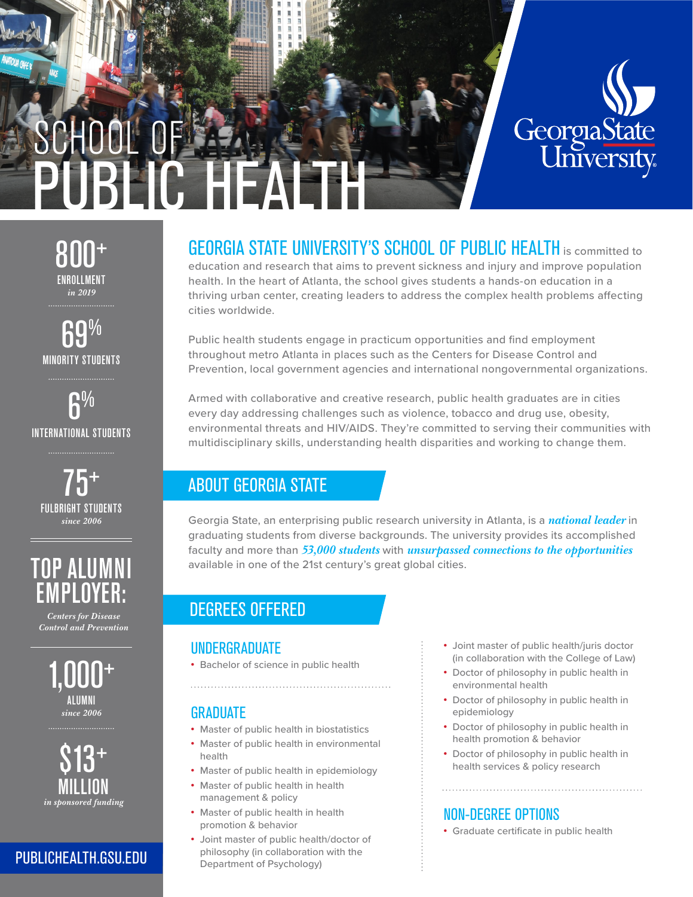

ENROLLMENT *in 2019* 800+

MINORITY STUDENTS AO

INTERNATIONAL STUDENTS  ${\bf \Omega} \%$ 



TOP ALUMNI EMPLOYER:

*Centers for Disease Control and Prevention*



*in sponsored funding*  $$13^+$ MILLION

### PUBLICHEALTH.GSU.EDU

#### GEORGIA STATE UNIVERSITY'S SCHOOL OF PUBLIC HEALTH is committed to education and research that aims to prevent sickness and injury and improve population health. In the heart of Atlanta, the school gives students a hands-on education in a

thriving urban center, creating leaders to address the complex health problems affecting cities worldwide.

Public health students engage in practicum opportunities and find employment throughout metro Atlanta in places such as the Centers for Disease Control and Prevention, local government agencies and international nongovernmental organizations.

Armed with collaborative and creative research, public health graduates are in cities every day addressing challenges such as violence, tobacco and drug use, obesity, environmental threats and HIV/AIDS. They're committed to serving their communities with multidisciplinary skills, understanding health disparities and working to change them.

# ABOUT GEORGIA STATE

Georgia State, an enterprising public research university in Atlanta, is a *national leader* in graduating students from diverse backgrounds. The university provides its accomplished faculty and more than *53,000 students* with *unsurpassed connections to the opportunities* available in one of the 21st century's great global cities.

# DEGREES OFFERED

### UNDERGRADUATE

• Bachelor of science in public health

### GRADUATE

- Master of public health in biostatistics
- Master of public health in environmental health

- Master of public health in epidemiology
- Master of public health in health management & policy
- Master of public health in health promotion & behavior
- Joint master of public health/doctor of philosophy (in collaboration with the Department of Psychology)
- Joint master of public health/juris doctor (in collaboration with the College of Law)
- Doctor of philosophy in public health in environmental health
- Doctor of philosophy in public health in epidemiology
- Doctor of philosophy in public health in health promotion & behavior
- Doctor of philosophy in public health in health services & policy research

# NON-DEGREE OPTIONS

• Graduate certificate in public health